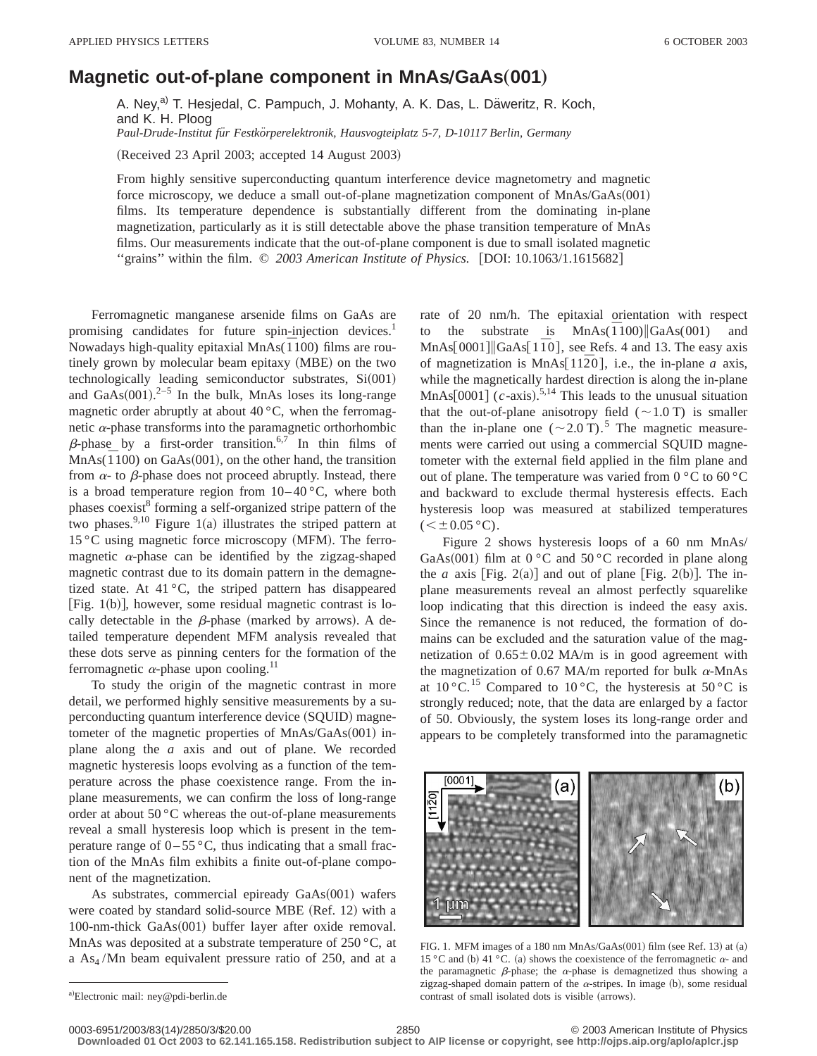## **Magnetic out-of-plane component in MnAs/GaAs(001)**

A. Ney,<sup>a)</sup> T. Hesjedal, C. Pampuch, J. Mohanty, A. K. Das, L. Däweritz, R. Koch, and K. H. Ploog Paul-Drude-Institut für Festkörperelektronik, Hausvogteiplatz 5-7, D-10117 Berlin, Germany

(Received 23 April 2003; accepted 14 August 2003)

From highly sensitive superconducting quantum interference device magnetometry and magnetic force microscopy, we deduce a small out-of-plane magnetization component of  $MnAs/GaAs(001)$ films. Its temperature dependence is substantially different from the dominating in-plane magnetization, particularly as it is still detectable above the phase transition temperature of MnAs films. Our measurements indicate that the out-of-plane component is due to small isolated magnetic "grains" within the film.  $\odot$  2003 American Institute of Physics. [DOI: 10.1063/1.1615682]

Ferromagnetic manganese arsenide films on GaAs are promising candidates for future spin-injection devices.<sup>1</sup> Nowadays high-quality epitaxial MnAs( $\overline{1}100$ ) films are routinely grown by molecular beam epitaxy (MBE) on the two technologically leading semiconductor substrates,  $Si(001)$ and  $GaAs(001).^{2-5}$  In the bulk, MnAs loses its long-range magnetic order abruptly at about  $40^{\circ}$ C, when the ferromagnetic  $\alpha$ -phase transforms into the paramagnetic orthorhombic  $\beta$ -phase by a first-order transition.<sup>6,7</sup> In thin films of  $MnAs(\overline{1}100)$  on GaAs(001), on the other hand, the transition from  $\alpha$ - to  $\beta$ -phase does not proceed abruptly. Instead, there is a broad temperature region from  $10-40\degree C$ , where both phases coexist<sup>8</sup> forming a self-organized stripe pattern of the two phases.<sup>9,10</sup> Figure 1(a) illustrates the striped pattern at  $15 \degree$ C using magnetic force microscopy (MFM). The ferromagnetic  $\alpha$ -phase can be identified by the zigzag-shaped magnetic contrast due to its domain pattern in the demagnetized state. At 41 °C, the striped pattern has disappeared [Fig.  $1(b)$ ], however, some residual magnetic contrast is locally detectable in the  $\beta$ -phase (marked by arrows). A detailed temperature dependent MFM analysis revealed that these dots serve as pinning centers for the formation of the ferromagnetic  $\alpha$ -phase upon cooling.<sup>11</sup>

To study the origin of the magnetic contrast in more detail, we performed highly sensitive measurements by a superconducting quantum interference device (SQUID) magnetometer of the magnetic properties of  $MnAs/GaAs(001)$  inplane along the *a* axis and out of plane. We recorded magnetic hysteresis loops evolving as a function of the temperature across the phase coexistence range. From the inplane measurements, we can confirm the loss of long-range order at about 50 °C whereas the out-of-plane measurements reveal a small hysteresis loop which is present in the temperature range of  $0-55$  °C, thus indicating that a small fraction of the MnAs film exhibits a finite out-of-plane component of the magnetization.

As substrates, commercial epiready  $GaAs(001)$  wafers were coated by standard solid-source MBE (Ref. 12) with a 100-nm-thick GaAs(001) buffer layer after oxide removal. MnAs was deposited at a substrate temperature of  $250^{\circ}$ C, at a  $As<sub>4</sub>/Mn$  beam equivalent pressure ratio of 250, and at a

rate of 20 nm/h. The epitaxial orientation with respect to the substrate is  $MnAs(\overline{1}100)$  GaAs(001) MnAs $[0001]$ <sup> $\parallel$ </sup>GaAs $[1\overline{1}0]$ , see Refs. 4 and 13. The easy axis of magnetization is MnAs[ $11\overline{2}0$ ], i.e., the in-plane *a* axis, while the magnetically hardest direction is along the in-plane  $MnAs[0001]$  (*c*-axis).<sup>5,14</sup> This leads to the unusual situation that the out-of-plane anisotropy field  $({\sim}1.0 \text{ T})$  is smaller than the in-plane one  $({\sim}2.0 \text{ T})$ .<sup>5</sup> The magnetic measurements were carried out using a commercial SQUID magnetometer with the external field applied in the film plane and out of plane. The temperature was varied from 0 °C to 60 °C and backward to exclude thermal hysteresis effects. Each hysteresis loop was measured at stabilized temperatures  $(<\pm 0.05$  °C).

Figure 2 shows hysteresis loops of a 60 nm MnAs/ GaAs $(001)$  film at  $0 °C$  and  $50 °C$  recorded in plane along the *a* axis [Fig. 2(a)] and out of plane [Fig. 2(b)]. The inplane measurements reveal an almost perfectly squarelike loop indicating that this direction is indeed the easy axis. Since the remanence is not reduced, the formation of domains can be excluded and the saturation value of the magnetization of  $0.65 \pm 0.02$  MA/m is in good agreement with the magnetization of 0.67 MA/m reported for bulk  $\alpha$ -MnAs at  $10^{\circ}$ C.<sup>15</sup> Compared to  $10^{\circ}$ C, the hysteresis at  $50^{\circ}$ C is strongly reduced; note, that the data are enlarged by a factor of 50. Obviously, the system loses its long-range order and appears to be completely transformed into the paramagnetic



FIG. 1. MFM images of a 180 nm MnAs/GaAs $(001)$  film (see Ref. 13) at  $(a)$ 15 °C and (b) 41 °C. (a) shows the coexistence of the ferromagnetic  $\alpha$ - and the paramagnetic  $\beta$ -phase; the  $\alpha$ -phase is demagnetized thus showing a zigzag-shaped domain pattern of the  $\alpha$ -stripes. In image (b), some residual contrast of small isolated dots is visible (arrows).

**Downloaded 01 Oct 2003 to 62.141.165.158. Redistribution subject to AIP license or copyright, see http://ojps.aip.org/aplo/aplcr.jsp**

a)Electronic mail: ney@pdi-berlin.de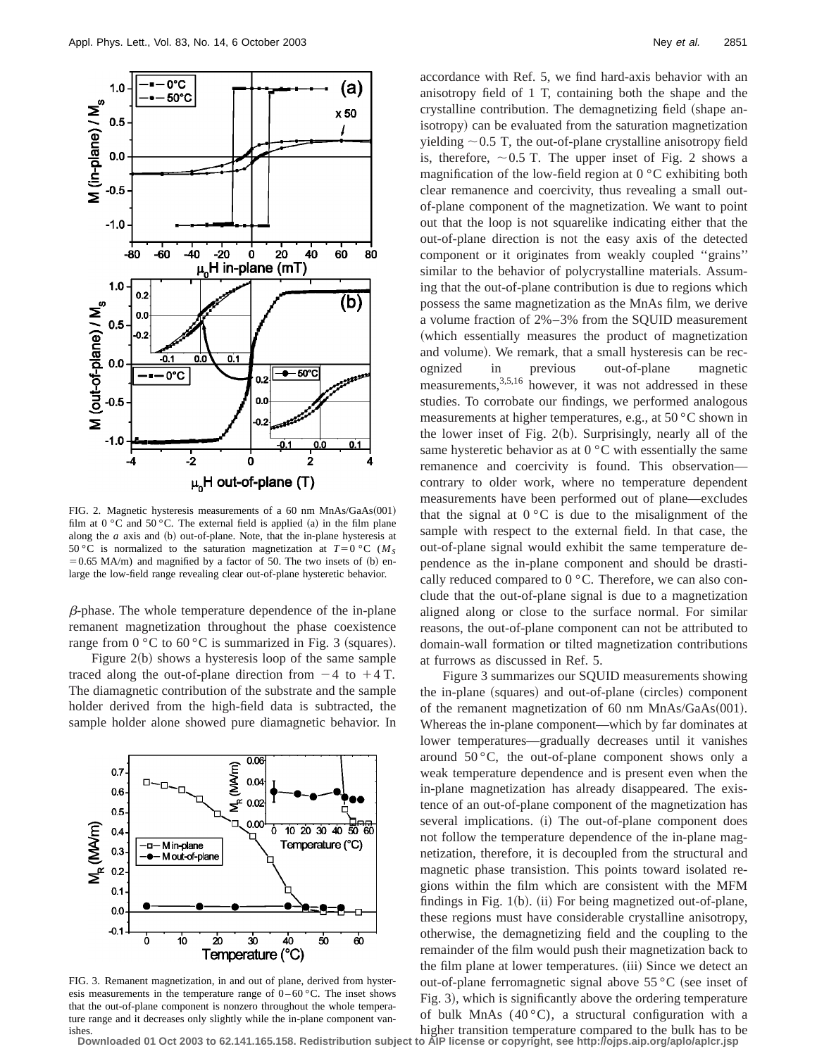

FIG. 2. Magnetic hysteresis measurements of a 60 nm  $MnAs/GaAs(001)$ film at  $0 °C$  and  $50 °C$ . The external field is applied (a) in the film plane along the  $a$  axis and  $(b)$  out-of-plane. Note, that the in-plane hysteresis at 50 °C is normalized to the saturation magnetization at  $T=0$  °C ( $M<sub>S</sub>$  $=0.65$  MA/m) and magnified by a factor of 50. The two insets of (b) enlarge the low-field range revealing clear out-of-plane hysteretic behavior.

 $\beta$ -phase. The whole temperature dependence of the in-plane remanent magnetization throughout the phase coexistence range from  $0 °C$  to  $60 °C$  is summarized in Fig. 3 (squares). Figure  $2(b)$  shows a hysteresis loop of the same sample

traced along the out-of-plane direction from  $-4$  to  $+4$  T. The diamagnetic contribution of the substrate and the sample holder derived from the high-field data is subtracted, the sample holder alone showed pure diamagnetic behavior. In



FIG. 3. Remanent magnetization, in and out of plane, derived from hysteresis measurements in the temperature range of  $0-60\degree C$ . The inset shows that the out-of-plane component is nonzero throughout the whole temperature range and it decreases only slightly while the in-plane component vanishes.

accordance with Ref. 5, we find hard-axis behavior with an anisotropy field of 1 T, containing both the shape and the crystalline contribution. The demagnetizing field (shape anisotropy) can be evaluated from the saturation magnetization yielding  $\sim$  0.5 T, the out-of-plane crystalline anisotropy field is, therefore,  $\sim 0.5$  T. The upper inset of Fig. 2 shows a magnification of the low-field region at  $0^{\circ}$ C exhibiting both clear remanence and coercivity, thus revealing a small outof-plane component of the magnetization. We want to point out that the loop is not squarelike indicating either that the out-of-plane direction is not the easy axis of the detected component or it originates from weakly coupled ''grains'' similar to the behavior of polycrystalline materials. Assuming that the out-of-plane contribution is due to regions which possess the same magnetization as the MnAs film, we derive a volume fraction of 2%–3% from the SQUID measurement (which essentially measures the product of magnetization and volume). We remark, that a small hysteresis can be recognized in previous out-of-plane magnetic measurements,<sup>3,5,16</sup> however, it was not addressed in these studies. To corrobate our findings, we performed analogous measurements at higher temperatures, e.g., at 50 °C shown in the lower inset of Fig.  $2(b)$ . Surprisingly, nearly all of the same hysteretic behavior as at  $0^{\circ}$ C with essentially the same remanence and coercivity is found. This observation contrary to older work, where no temperature dependent measurements have been performed out of plane—excludes that the signal at  $0^{\circ}$ C is due to the misalignment of the sample with respect to the external field. In that case, the out-of-plane signal would exhibit the same temperature dependence as the in-plane component and should be drastically reduced compared to 0 °C. Therefore, we can also conclude that the out-of-plane signal is due to a magnetization aligned along or close to the surface normal. For similar reasons, the out-of-plane component can not be attributed to domain-wall formation or tilted magnetization contributions at furrows as discussed in Ref. 5.

Figure 3 summarizes our SQUID measurements showing the in-plane (squares) and out-of-plane (circles) component of the remanent magnetization of 60 nm  $MnAs/GaAs(001)$ . Whereas the in-plane component—which by far dominates at lower temperatures—gradually decreases until it vanishes around  $50^{\circ}$ C, the out-of-plane component shows only a weak temperature dependence and is present even when the in-plane magnetization has already disappeared. The existence of an out-of-plane component of the magnetization has several implications. (i) The out-of-plane component does not follow the temperature dependence of the in-plane magnetization, therefore, it is decoupled from the structural and magnetic phase transistion. This points toward isolated regions within the film which are consistent with the MFM findings in Fig.  $1(b)$ . (ii) For being magnetized out-of-plane, these regions must have considerable crystalline anisotropy, otherwise, the demagnetizing field and the coupling to the remainder of the film would push their magnetization back to the film plane at lower temperatures. (iii) Since we detect an out-of-plane ferromagnetic signal above  $55^{\circ}$ C (see inset of Fig. 3), which is significantly above the ordering temperature of bulk MnAs  $(40^{\circ}C)$ , a structural configuration with a

higher transition temperature compared to the bulk has to be **Downloaded 01 Oct 2003 to 62.141.165.158. Redistribution subject to AIP license or copyright, see http://ojps.aip.org/aplo/aplcr.jsp**